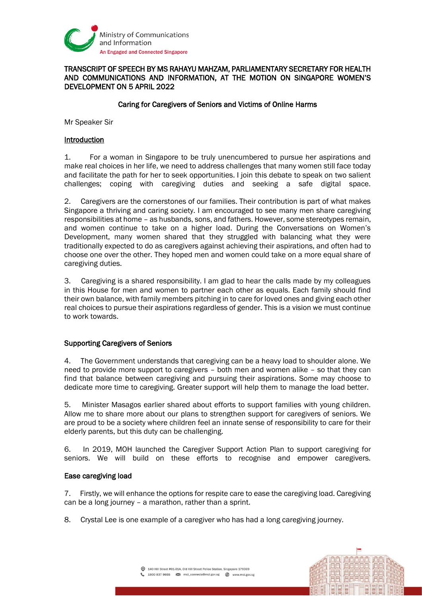

## TRANSCRIPT OF SPEECH BY MS RAHAYU MAHZAM, PARLIAMENTARY SECRETARY FOR HEALTH AND COMMUNICATIONS AND INFORMATION, AT THE MOTION ON SINGAPORE WOMEN'S DEVELOPMENT ON 5 APRIL 2022

# Caring for Caregivers of Seniors and Victims of Online Harms

Mr Speaker Sir

## Introduction

1. For a woman in Singapore to be truly unencumbered to pursue her aspirations and make real choices in her life, we need to address challenges that many women still face today and facilitate the path for her to seek opportunities. I join this debate to speak on two salient challenges; coping with caregiving duties and seeking a safe digital space.

2. Caregivers are the cornerstones of our families. Their contribution is part of what makes Singapore a thriving and caring society. I am encouraged to see many men share caregiving responsibilities at home – as husbands, sons, and fathers. However, some stereotypes remain, and women continue to take on a higher load. During the Conversations on Women's Development, many women shared that they struggled with balancing what they were traditionally expected to do as caregivers against achieving their aspirations, and often had to choose one over the other. They hoped men and women could take on a more equal share of caregiving duties.

3. Caregiving is a shared responsibility. I am glad to hear the calls made by my colleagues in this House for men and women to partner each other as equals. Each family should find their own balance, with family members pitching in to care for loved ones and giving each other real choices to pursue their aspirations regardless of gender. This is a vision we must continue to work towards.

## Supporting Caregivers of Seniors

4. The Government understands that caregiving can be a heavy load to shoulder alone. We need to provide more support to caregivers – both men and women alike – so that they can find that balance between caregiving and pursuing their aspirations. Some may choose to dedicate more time to caregiving. Greater support will help them to manage the load better.

5. Minister Masagos earlier shared about efforts to support families with young children. Allow me to share more about our plans to strengthen support for caregivers of seniors. We are proud to be a society where children feel an innate sense of responsibility to care for their elderly parents, but this duty can be challenging.

6. In 2019, MOH launched the Caregiver Support Action Plan to support caregiving for seniors. We will build on these efforts to recognise and empower caregivers.

#### Ease caregiving load

7. Firstly, we will enhance the options for respite care to ease the caregiving load. Caregiving can be a long journey – a marathon, rather than a sprint.

8. Crystal Lee is one example of a caregiver who has had a long caregiving journey.

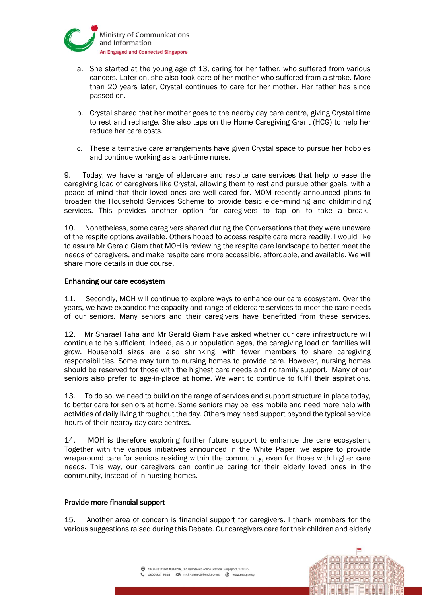

- a. She started at the young age of 13, caring for her father, who suffered from various cancers. Later on, she also took care of her mother who suffered from a stroke. More than 20 years later, Crystal continues to care for her mother. Her father has since passed on.
- b. Crystal shared that her mother goes to the nearby day care centre, giving Crystal time to rest and recharge. She also taps on the Home Caregiving Grant (HCG) to help her reduce her care costs.
- c. These alternative care arrangements have given Crystal space to pursue her hobbies and continue working as a part-time nurse.

9. Today, we have a range of eldercare and respite care services that help to ease the caregiving load of caregivers like Crystal, allowing them to rest and pursue other goals, with a peace of mind that their loved ones are well cared for. MOM recently announced plans to broaden the Household Services Scheme to provide basic elder-minding and childminding services. This provides another option for caregivers to tap on to take a break.

10. Nonetheless, some caregivers shared during the Conversations that they were unaware of the respite options available. Others hoped to access respite care more readily. I would like to assure Mr Gerald Giam that MOH is reviewing the respite care landscape to better meet the needs of caregivers, and make respite care more accessible, affordable, and available. We will share more details in due course.

### Enhancing our care ecosystem

11. Secondly, MOH will continue to explore ways to enhance our care ecosystem. Over the years, we have expanded the capacity and range of eldercare services to meet the care needs of our seniors. Many seniors and their caregivers have benefitted from these services.

12. Mr Sharael Taha and Mr Gerald Giam have asked whether our care infrastructure will continue to be sufficient. Indeed, as our population ages, the caregiving load on families will grow. Household sizes are also shrinking, with fewer members to share caregiving responsibilities. Some may turn to nursing homes to provide care. However, nursing homes should be reserved for those with the highest care needs and no family support. Many of our seniors also prefer to age-in-place at home. We want to continue to fulfil their aspirations.

13. To do so, we need to build on the range of services and support structure in place today, to better care for seniors at home. Some seniors may be less mobile and need more help with activities of daily living throughout the day. Others may need support beyond the typical service hours of their nearby day care centres.

14. MOH is therefore exploring further future support to enhance the care ecosystem. Together with the various initiatives announced in the White Paper, we aspire to provide wraparound care for seniors residing within the community, even for those with higher care needs. This way, our caregivers can continue caring for their elderly loved ones in the community, instead of in nursing homes.

## Provide more financial support

15. Another area of concern is financial support for caregivers. I thank members for the various suggestions raised during this Debate. Our caregivers care for their children and elderly

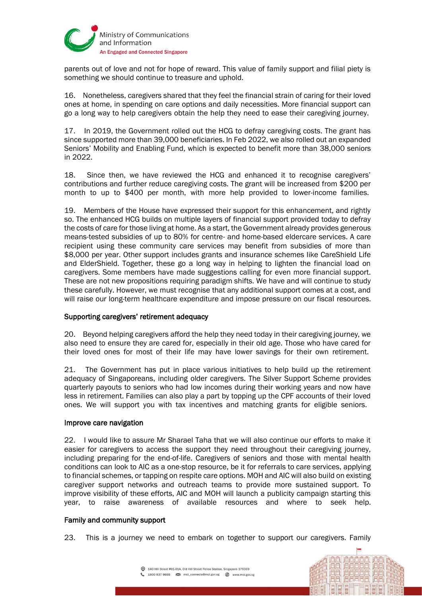

parents out of love and not for hope of reward. This value of family support and filial piety is something we should continue to treasure and uphold.

16. Nonetheless, caregivers shared that they feel the financial strain of caring for their loved ones at home, in spending on care options and daily necessities. More financial support can go a long way to help caregivers obtain the help they need to ease their caregiving journey.

17. In 2019, the Government rolled out the HCG to defray caregiving costs. The grant has since supported more than 39,000 beneficiaries. In Feb 2022, we also rolled out an expanded Seniors' Mobility and Enabling Fund, which is expected to benefit more than 38,000 seniors in 2022.

18. Since then, we have reviewed the HCG and enhanced it to recognise caregivers' contributions and further reduce caregiving costs. The grant will be increased from \$200 per month to up to \$400 per month, with more help provided to lower-income families.

19. Members of the House have expressed their support for this enhancement, and rightly so. The enhanced HCG builds on multiple layers of financial support provided today to defray the costs of care for those living at home. As a start, the Government already provides generous means-tested subsidies of up to 80% for centre- and home-based eldercare services. A care recipient using these community care services may benefit from subsidies of more than \$8,000 per year. Other support includes grants and insurance schemes like CareShield Life and ElderShield. Together, these go a long way in helping to lighten the financial load on caregivers. Some members have made suggestions calling for even more financial support. These are not new propositions requiring paradigm shifts. We have and will continue to study these carefully. However, we must recognise that any additional support comes at a cost, and will raise our long-term healthcare expenditure and impose pressure on our fiscal resources.

## Supporting caregivers' retirement adequacy

20. Beyond helping caregivers afford the help they need today in their caregiving journey, we also need to ensure they are cared for, especially in their old age. Those who have cared for their loved ones for most of their life may have lower savings for their own retirement.

21. The Government has put in place various initiatives to help build up the retirement adequacy of Singaporeans, including older caregivers. The Silver Support Scheme provides quarterly payouts to seniors who had low incomes during their working years and now have less in retirement. Families can also play a part by topping up the CPF accounts of their loved ones. We will support you with tax incentives and matching grants for eligible seniors.

### Improve care navigation

22. I would like to assure Mr Sharael Taha that we will also continue our efforts to make it easier for caregivers to access the support they need throughout their caregiving journey, including preparing for the end-of-life. Caregivers of seniors and those with mental health conditions can look to AIC as a one-stop resource, be it for referrals to care services, applying to financial schemes, or tapping on respite care options. MOH and AIC will also build on existing caregiver support networks and outreach teams to provide more sustained support. To improve visibility of these efforts, AIC and MOH will launch a publicity campaign starting this year, to raise awareness of available resources and where to seek help.

#### Family and community support

23. This is a journey we need to embark on together to support our caregivers. Family

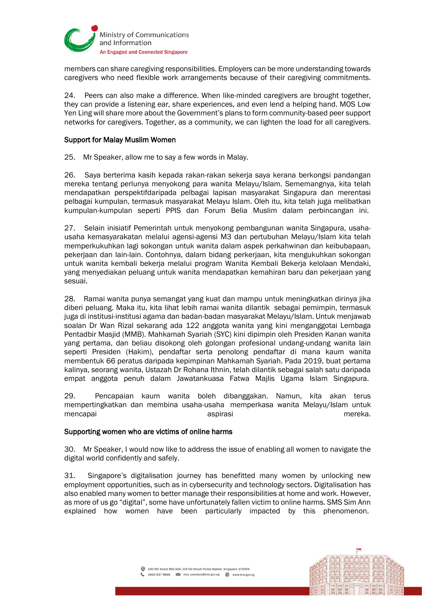

members can share caregiving responsibilities. Employers can be more understanding towards caregivers who need flexible work arrangements because of their caregiving commitments.

24. Peers can also make a difference. When like-minded caregivers are brought together, they can provide a listening ear, share experiences, and even lend a helping hand. MOS Low Yen Ling will share more about the Government's plans to form community-based peer support networks for caregivers. Together, as a community, we can lighten the load for all caregivers.

## Support for Malay Muslim Women

25. Mr Speaker, allow me to say a few words in Malay.

26. Saya berterima kasih kepada rakan-rakan sekerja saya kerana berkongsi pandangan mereka tentang perlunya menyokong para wanita Melayu/Islam. Sememangnya, kita telah mendapatkan perspektifdaripada pelbagai lapisan masyarakat Singapura dan merentasi pelbagai kumpulan, termasuk masyarakat Melayu Islam. Oleh itu, kita telah juga melibatkan kumpulan-kumpulan seperti PPIS dan Forum Belia Muslim dalam perbincangan ini.

27. Selain inisiatif Pemerintah untuk menyokong pembangunan wanita Singapura, usahausaha kemasyarakatan melalui agensi-agensi M3 dan pertubuhan Melayu/Islam kita telah memperkukuhkan lagi sokongan untuk wanita dalam aspek perkahwinan dan keibubapaan, pekerjaan dan lain-lain. Contohnya, dalam bidang perkerjaan, kita mengukuhkan sokongan untuk wanita kembali bekerja melalui program Wanita Kembali Bekerja kelolaan Mendaki, yang menyediakan peluang untuk wanita mendapatkan kemahiran baru dan pekerjaan yang sesuai.

28. Ramai wanita punya semangat yang kuat dan mampu untuk meningkatkan dirinya jika diberi peluang. Maka itu, kita lihat lebih ramai wanita dilantik sebagai pemimpin, termasuk juga di institusi-institusi agama dan badan-badan masyarakat Melayu/Islam. Untuk menjawab soalan Dr Wan Rizal sekarang ada 122 anggota wanita yang kini menganggotai Lembaga Pentadbir Masjid (MMB). Mahkamah Syariah (SYC) kini dipimpin oleh Presiden Kanan wanita yang pertama, dan beliau disokong oleh golongan profesional undang-undang wanita lain seperti Presiden (Hakim), pendaftar serta penolong pendaftar di mana kaum wanita membentuk 66 peratus daripada kepimpinan Mahkamah Syariah. Pada 2019, buat pertama kalinya, seorang wanita, Ustazah Dr Rohana Ithnin, telah dilantik sebagai salah satu daripada empat anggota penuh dalam Jawatankuasa Fatwa Majlis Ugama Islam Singapura.

29. Pencapaian kaum wanita boleh dibanggakan. Namun, kita akan terus mempertingkatkan dan membina usaha-usaha memperkasa wanita Melayu/Islam untuk mencapai aspirasi aspirasi aspirasi mereka.

## Supporting women who are victims of online harms

30. Mr Speaker, I would now like to address the issue of enabling all women to navigate the digital world confidently and safely.

31. Singapore's digitalisation journey has benefitted many women by unlocking new employment opportunities, such as in cybersecurity and technology sectors. Digitalisation has also enabled many women to better manage their responsibilities at home and work. However, as more of us go "digital", some have unfortunately fallen victim to online harms. SMS Sim Ann explained how women have been particularly impacted by this phenomenon.

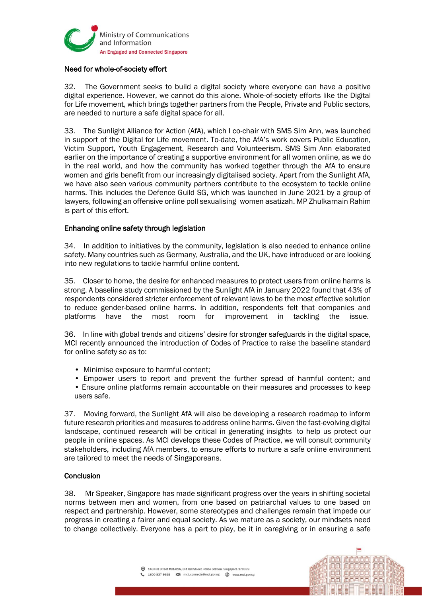

# Need for whole-of-society effort

32. The Government seeks to build a digital society where everyone can have a positive digital experience. However, we cannot do this alone. Whole-of-society efforts like the Digital for Life movement, which brings together partners from the People, Private and Public sectors, are needed to nurture a safe digital space for all.

33. The Sunlight Alliance for Action (AfA), which I co-chair with SMS Sim Ann, was launched in support of the Digital for Life movement. To-date, the AfA's work covers Public Education, Victim Support, Youth Engagement, Research and Volunteerism. SMS Sim Ann elaborated earlier on the importance of creating a supportive environment for all women online, as we do in the real world, and how the community has worked together through the AfA to ensure women and girls benefit from our increasingly digitalised society. Apart from the Sunlight AfA, we have also seen various community partners contribute to the ecosystem to tackle online harms. This includes the Defence Guild SG, which was launched in June 2021 by a group of lawyers, following an offensive online poll sexualising women asatizah. MP Zhulkarnain Rahim is part of this effort.

# Enhancing online safety through legislation

34. In addition to initiatives by the community, legislation is also needed to enhance online safety. Many countries such as Germany, Australia, and the UK, have introduced or are looking into new regulations to tackle harmful online content.

35. Closer to home, the desire for enhanced measures to protect users from online harms is strong. A baseline study commissioned by the Sunlight AfA in January 2022 found that 43% of respondents considered stricter enforcement of relevant laws to be the most effective solution to reduce gender-based online harms. In addition, respondents felt that companies and platforms have the most room for improvement in tackling the issue.

36. In line with global trends and citizens' desire for stronger safeguards in the digital space, MCI recently announced the introduction of Codes of Practice to raise the baseline standard for online safety so as to:

- Minimise exposure to harmful content;
- Empower users to report and prevent the further spread of harmful content; and
- Ensure online platforms remain accountable on their measures and processes to keep users safe.

37. Moving forward, the Sunlight AfA will also be developing a research roadmap to inform future research priorities and measures to address online harms. Given the fast-evolving digital landscape, continued research will be critical in generating insights to help us protect our people in online spaces. As MCI develops these Codes of Practice, we will consult community stakeholders, including AfA members, to ensure efforts to nurture a safe online environment are tailored to meet the needs of Singaporeans.

## **Conclusion**

38. Mr Speaker, Singapore has made significant progress over the years in shifting societal norms between men and women, from one based on patriarchal values to one based on respect and partnership. However, some stereotypes and challenges remain that impede our progress in creating a fairer and equal society. As we mature as a society, our mindsets need to change collectively. Everyone has a part to play, be it in caregiving or in ensuring a safe